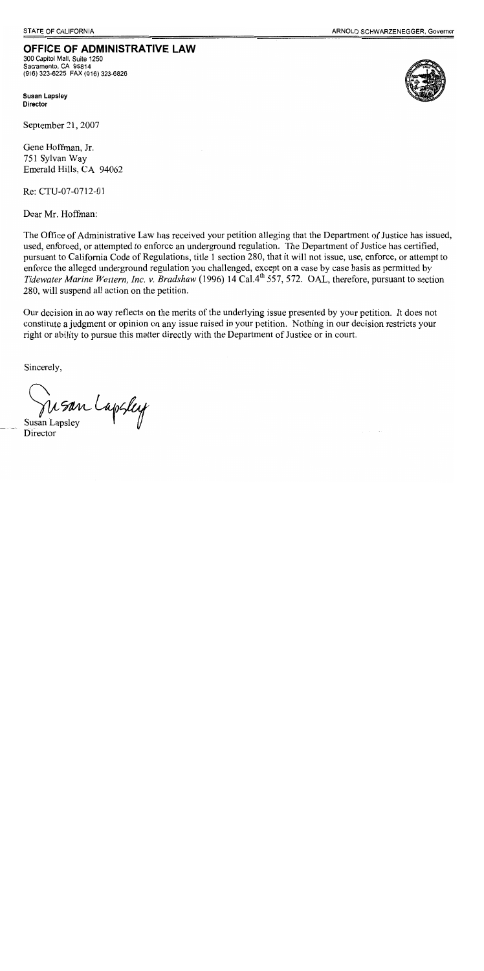### OFFICE OF ADMINISTRATIVE LAW

300 Capitol Mall, Suite 1250 Sacramento, CA 95814 (916) 323-6225 FAX (916) 323-6826

**Susan Lapsley Director** 

September 21, 2007

Gene Hoffman, Jr. 751 Sylvan Way Emerald Hills, CA 94062

Re: CTU-07-0712-01

Dear Mr. Hoffman:

The Office of Administrative Law has received your petition alleging that the Department of Justice has issued, used, enforced, or attempted to enforce an underground regulation. The Department of Justice has certified, pursuant to California Code of Regulations, title 1 section 280, that it will not issue, use, enforce, or attempt to enforce the alleged underground regulation you challenged, except on a case by case basis as permitted by Tidewater Marine Western, Inc. v. Bradshaw (1996) 14 Cal.4<sup>th</sup> 557, 572. OAL, therefore, pursuant to section 280, will suspend all action on the petition.

Our decision in no way reflects on the merits of the underlying issue presented by your petition. It does not constitute a judgment or opinion on any issue raised in your petition. Nothing in our decision restricts your right or ability to pursue this matter directly with the Department of Justice or in court.

Sincerely,

Susan Lapsley

Director

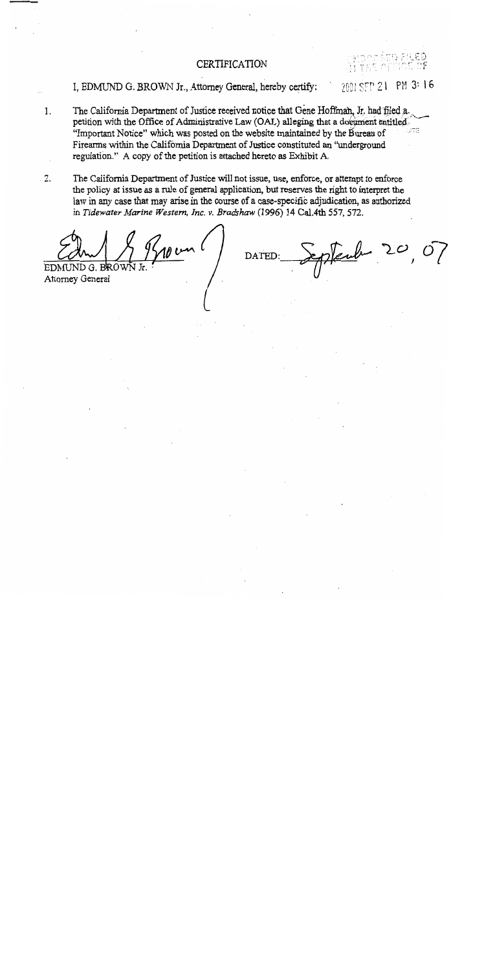#### **CERTIFICATION**

ぶけ 応急

I, EDMUND G. BROWN Jr., Attorney General, hereby certify:

 $2001$  SEP 21 PM 3:16

- The California Department of Justice received notice that Gene Hoffman, Jr. had filed a.  $1.$ petition with the Office of Administrative Law (OAL) alleging that a document entitled. ihte "Important Notice" which was posted on the website maintained by the Bureau of Firearms within the California Department of Justice constituted an "underground regulation." A copy of the petition is attached hereto as Exhibit A.
- The California Department of Justice will not issue, use, enforce, or attempt to enforce  $2.$ the policy at issue as a rule of general application, but reserves the right to interpret the law in any case that may arise in the course of a case-specific adjudication, as authorized in Tidewater Marine Western, Inc. v. Bradshaw (1996) 14 Cal.4th 557, 572.

**EDMUND** 

Attorney General

subur **DATED**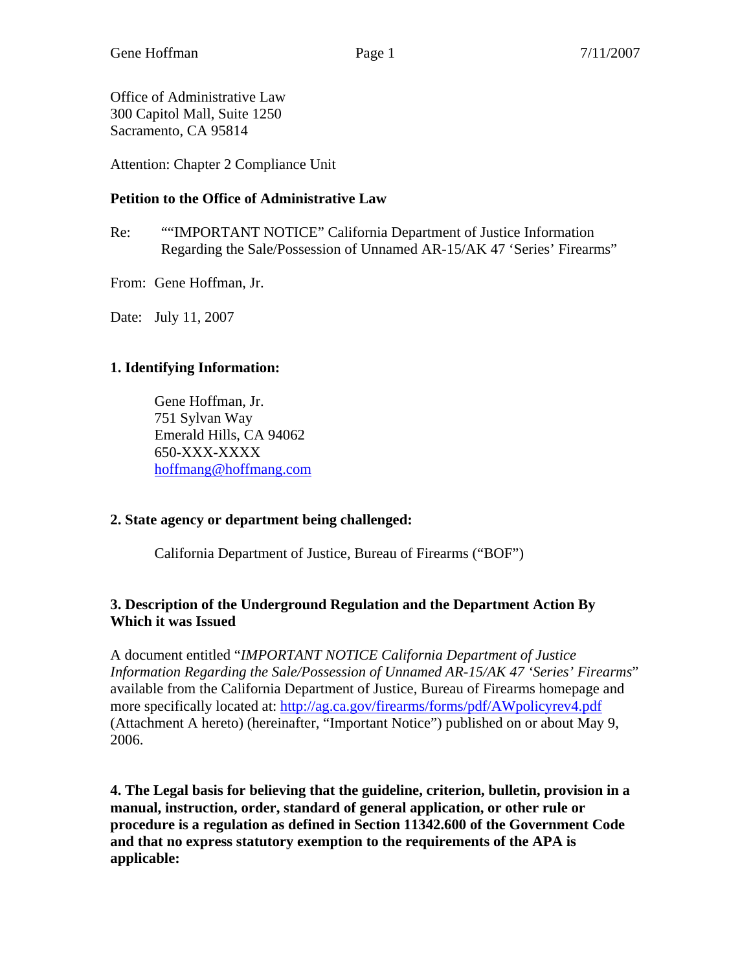Office of Administrative Law 300 Capitol Mall, Suite 1250 Sacramento, CA 95814

Attention: Chapter 2 Compliance Unit

#### **Petition to the Office of Administrative Law**

- Re: ""IMPORTANT NOTICE" California Department of Justice Information Regarding the Sale/Possession of Unnamed AR-15/AK 47 'Series' Firearms"
- From: Gene Hoffman, Jr.

Date: July 11, 2007

#### **1. Identifying Information:**

Gene Hoffman, Jr. 751 Sylvan Way Emerald Hills, CA 94062 650-XXX-XXXX [hoffmang@hoffmang.com](mailto:hoffmang@hoffmang.com)

#### **2. State agency or department being challenged:**

California Department of Justice, Bureau of Firearms ("BOF")

#### **3. Description of the Underground Regulation and the Department Action By Which it was Issued**

A document entitled "*IMPORTANT NOTICE California Department of Justice Information Regarding the Sale/Possession of Unnamed AR-15/AK 47 'Series' Firearms*" available from the California Department of Justice, Bureau of Firearms homepage and more specifically located at: <http://ag.ca.gov/firearms/forms/pdf/AWpolicyrev4.pdf> (Attachment A hereto) (hereinafter, "Important Notice") published on or about May 9, 2006.

**4. The Legal basis for believing that the guideline, criterion, bulletin, provision in a manual, instruction, order, standard of general application, or other rule or procedure is a regulation as defined in Section 11342.600 of the Government Code and that no express statutory exemption to the requirements of the APA is applicable:**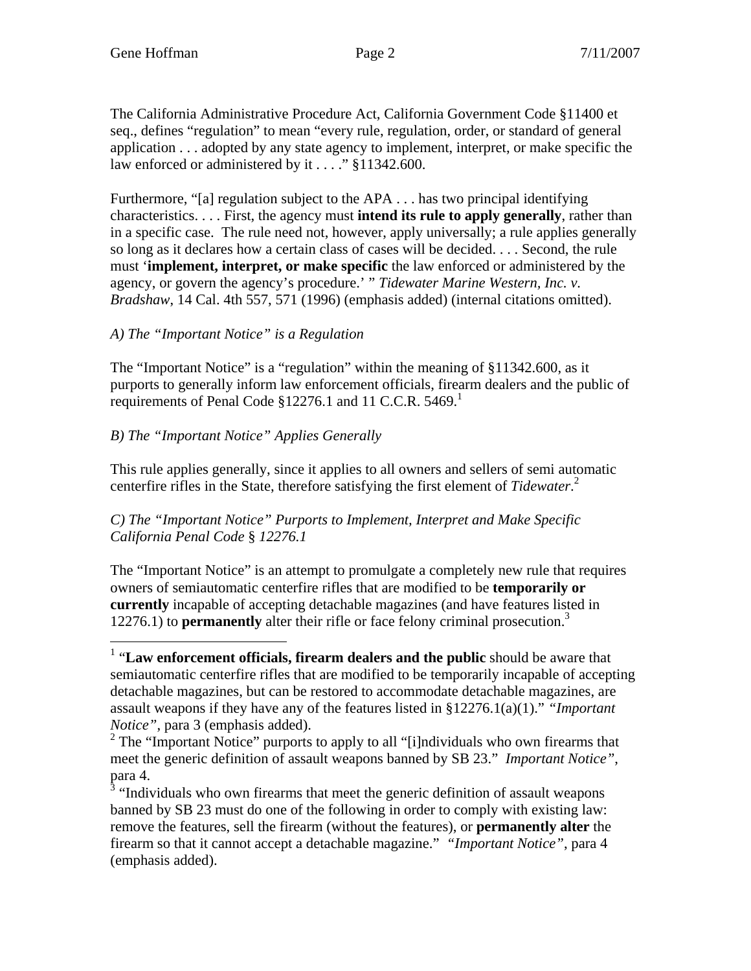The California Administrative Procedure Act, California Government Code §11400 et seq., defines "regulation" to mean "every rule, regulation, order, or standard of general application . . . adopted by any state agency to implement, interpret, or make specific the law enforced or administered by it . . . ." §11342.600.

Furthermore, "[a] regulation subject to the APA . . . has two principal identifying characteristics. . . . First, the agency must **intend its rule to apply generally**, rather than in a specific case. The rule need not, however, apply universally; a rule applies generally so long as it declares how a certain class of cases will be decided. . . . Second, the rule must '**implement, interpret, or make specific** the law enforced or administered by the agency, or govern the agency's procedure.' " *Tidewater Marine Western, Inc. v. Bradshaw*, 14 Cal. 4th 557, 571 (1996) (emphasis added) (internal citations omitted).

#### *A) The "Important Notice" is a Regulation*

The "Important Notice" is a "regulation" within the meaning of §11342.600, as it purports to generally inform law enforcement officials, firearm dealers and the public of requirements of Penal Code  $$12276.1$  $$12276.1$  $$12276.1$  and 11 C.C.R. 5469.<sup>1</sup>

#### *B) The "Important Notice" Applies Generally*

This rule applies generally, since it applies to all owners and sellers of semi automatic centerfire rifles in the State, therefore satisfying the first element of *Tidewater*. [2](#page-3-1)

#### *C) The "Important Notice" Purports to Implement, Interpret and Make Specific California Penal Code* § *12276.1*

The "Important Notice" is an attempt to promulgate a completely new rule that requires owners of semiautomatic centerfire rifles that are modified to be **temporarily or currently** incapable of accepting detachable magazines (and have features listed in 12276.1) to **permanently** alter their rifle or face felony criminal prosecution.[3](#page-3-2)

<span id="page-3-0"></span> 1 "**Law enforcement officials, firearm dealers and the public** should be aware that semiautomatic centerfire rifles that are modified to be temporarily incapable of accepting detachable magazines, but can be restored to accommodate detachable magazines, are assault weapons if they have any of the features listed in §12276.1(a)(1)." *"Important Notice"*, para 3 (emphasis added).

<span id="page-3-1"></span> $2^2$  The "Important Notice" purports to apply to all "[i]ndividuals who own firearms that meet the generic definition of assault weapons banned by SB 23." *Important Notice"*, para 4.

<span id="page-3-2"></span><sup>&</sup>lt;sup>3</sup> "Individuals who own firearms that meet the generic definition of assault weapons banned by SB 23 must do one of the following in order to comply with existing law: remove the features, sell the firearm (without the features), or **permanently alter** the firearm so that it cannot accept a detachable magazine." *"Important Notice"*, para 4 (emphasis added).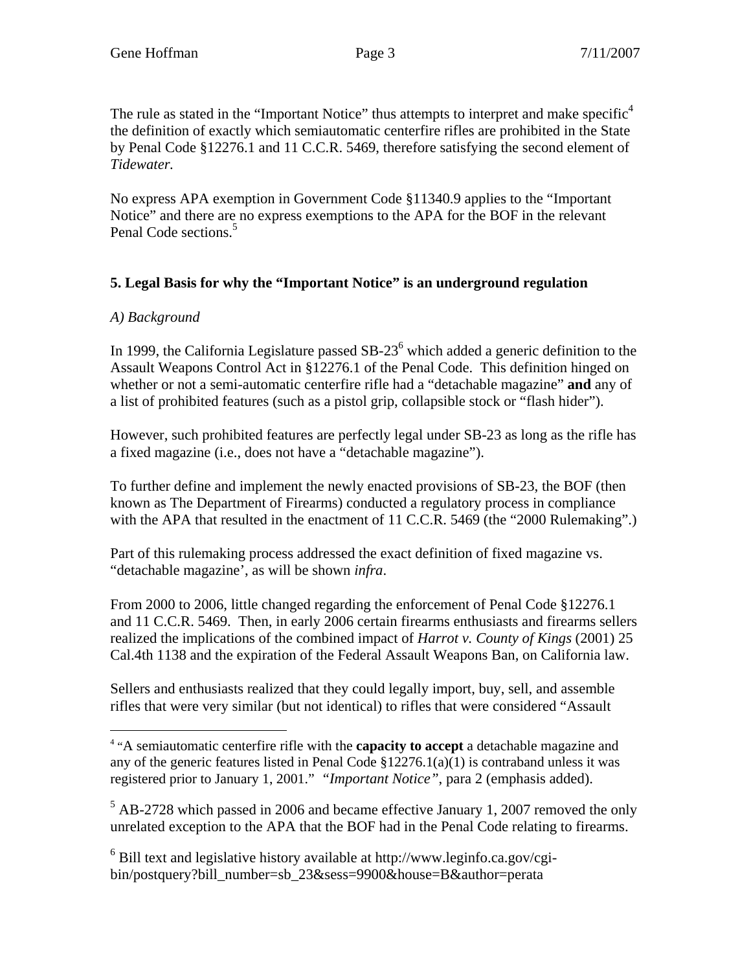The rule as stated in the "Important Notice" thus attempts to interpret and make specific<sup>[4](#page-4-0)</sup> the definition of exactly which semiautomatic centerfire rifles are prohibited in the State by Penal Code §12276.1 and 11 C.C.R. 5469, therefore satisfying the second element of *Tidewater.* 

No express APA exemption in Government Code §11340.9 applies to the "Important Notice" and there are no express exemptions to the APA for the BOF in the relevant Penal Code sections.<sup>[5](#page-4-1)</sup>

#### **5. Legal Basis for why the "Important Notice" is an underground regulation**

#### *A) Background*

In 1999, the California Legislature passed  $SB-23<sup>6</sup>$  $SB-23<sup>6</sup>$  $SB-23<sup>6</sup>$  which added a generic definition to the Assault Weapons Control Act in §12276.1 of the Penal Code. This definition hinged on whether or not a semi-automatic centerfire rifle had a "detachable magazine" **and** any of a list of prohibited features (such as a pistol grip, collapsible stock or "flash hider").

However, such prohibited features are perfectly legal under SB-23 as long as the rifle has a fixed magazine (i.e., does not have a "detachable magazine").

To further define and implement the newly enacted provisions of SB-23, the BOF (then known as The Department of Firearms) conducted a regulatory process in compliance with the APA that resulted in the enactment of 11 C.C.R. 5469 (the "2000 Rulemaking".)

Part of this rulemaking process addressed the exact definition of fixed magazine vs. "detachable magazine', as will be shown *infra*.

From 2000 to 2006, little changed regarding the enforcement of Penal Code §12276.1 and 11 C.C.R. 5469. Then, in early 2006 certain firearms enthusiasts and firearms sellers realized the implications of the combined impact of *Harrot v. County of Kings* (2001) 25 Cal.4th 1138 and the expiration of the Federal Assault Weapons Ban, on California law.

Sellers and enthusiasts realized that they could legally import, buy, sell, and assemble rifles that were very similar (but not identical) to rifles that were considered "Assault

<span id="page-4-0"></span><sup>&</sup>lt;u>.</u> 4 "A semiautomatic centerfire rifle with the **capacity to accept** a detachable magazine and any of the generic features listed in Penal Code §12276.1(a)(1) is contraband unless it was registered prior to January 1, 2001." *"Important Notice"*, para 2 (emphasis added).

<span id="page-4-1"></span> $<sup>5</sup>$  AB-2728 which passed in 2006 and became effective January 1, 2007 removed the only</sup> unrelated exception to the APA that the BOF had in the Penal Code relating to firearms.

<span id="page-4-2"></span><sup>&</sup>lt;sup>6</sup> Bill text and legislative history available at http://www.leginfo.ca.gov/cgibin/postquery?bill\_number=sb\_23&sess=9900&house=B&author=perata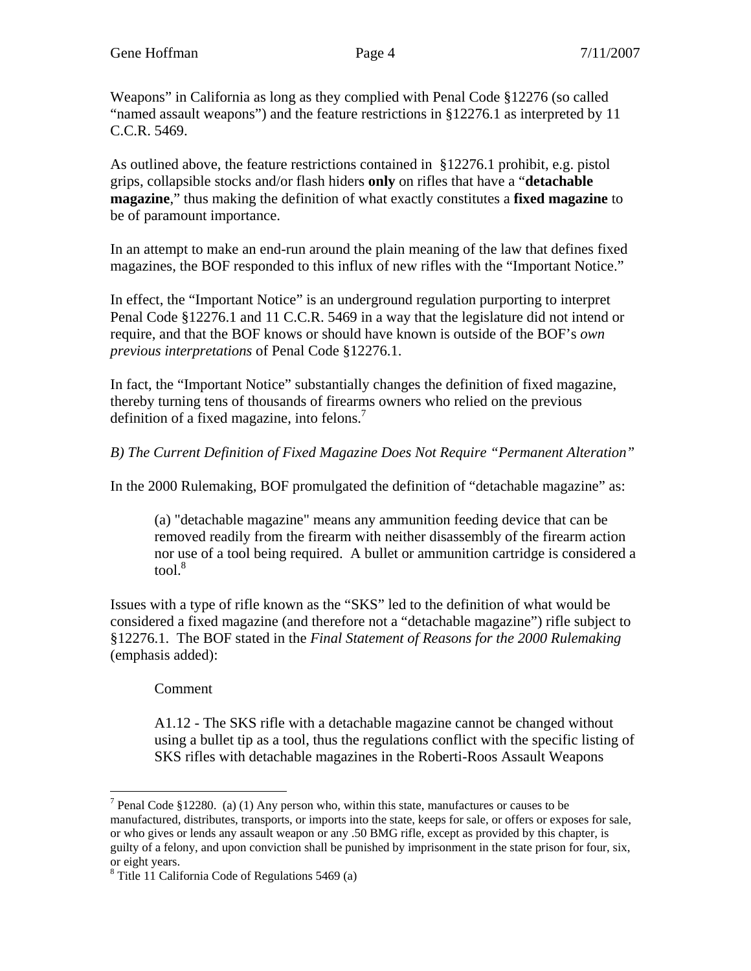Weapons" in California as long as they complied with Penal Code §12276 (so called "named assault weapons") and the feature restrictions in §12276.1 as interpreted by 11 C.C.R. 5469.

As outlined above, the feature restrictions contained in §12276.1 prohibit, e.g. pistol grips, collapsible stocks and/or flash hiders **only** on rifles that have a "**detachable magazine**," thus making the definition of what exactly constitutes a **fixed magazine** to be of paramount importance.

In an attempt to make an end-run around the plain meaning of the law that defines fixed magazines, the BOF responded to this influx of new rifles with the "Important Notice."

In effect, the "Important Notice" is an underground regulation purporting to interpret Penal Code §12276.1 and 11 C.C.R. 5469 in a way that the legislature did not intend or require, and that the BOF knows or should have known is outside of the BOF's *own previous interpretations* of Penal Code §12276.1.

In fact, the "Important Notice" substantially changes the definition of fixed magazine, thereby turning tens of thousands of firearms owners who relied on the previous definition of a fixed magazine, into felons. $<sup>7</sup>$  $<sup>7</sup>$  $<sup>7</sup>$ </sup>

*B) The Current Definition of Fixed Magazine Does Not Require "Permanent Alteration"* 

In the 2000 Rulemaking, BOF promulgated the definition of "detachable magazine" as:

(a) "detachable magazine" means any ammunition feeding device that can be removed readily from the firearm with neither disassembly of the firearm action nor use of a tool being required. A bullet or ammunition cartridge is considered a  $tool.<sup>8</sup>$  $tool.<sup>8</sup>$  $tool.<sup>8</sup>$ 

Issues with a type of rifle known as the "SKS" led to the definition of what would be considered a fixed magazine (and therefore not a "detachable magazine") rifle subject to §12276.1. The BOF stated in the *Final Statement of Reasons for the 2000 Rulemaking* (emphasis added):

Comment

 $\overline{a}$ 

A1.12 - The SKS rifle with a detachable magazine cannot be changed without using a bullet tip as a tool, thus the regulations conflict with the specific listing of SKS rifles with detachable magazines in the Roberti-Roos Assault Weapons

<span id="page-5-0"></span><sup>&</sup>lt;sup>7</sup> Penal Code §12280. (a) (1) Any person who, within this state, manufactures or causes to be manufactured, distributes, transports, or imports into the state, keeps for sale, or offers or exposes for sale, or who gives or lends any assault weapon or any .50 BMG rifle, except as provided by this chapter, is guilty of a felony, and upon conviction shall be punished by imprisonment in the state prison for four, six, or eight years.

<span id="page-5-1"></span><sup>8</sup> Title 11 California Code of Regulations 5469 (a)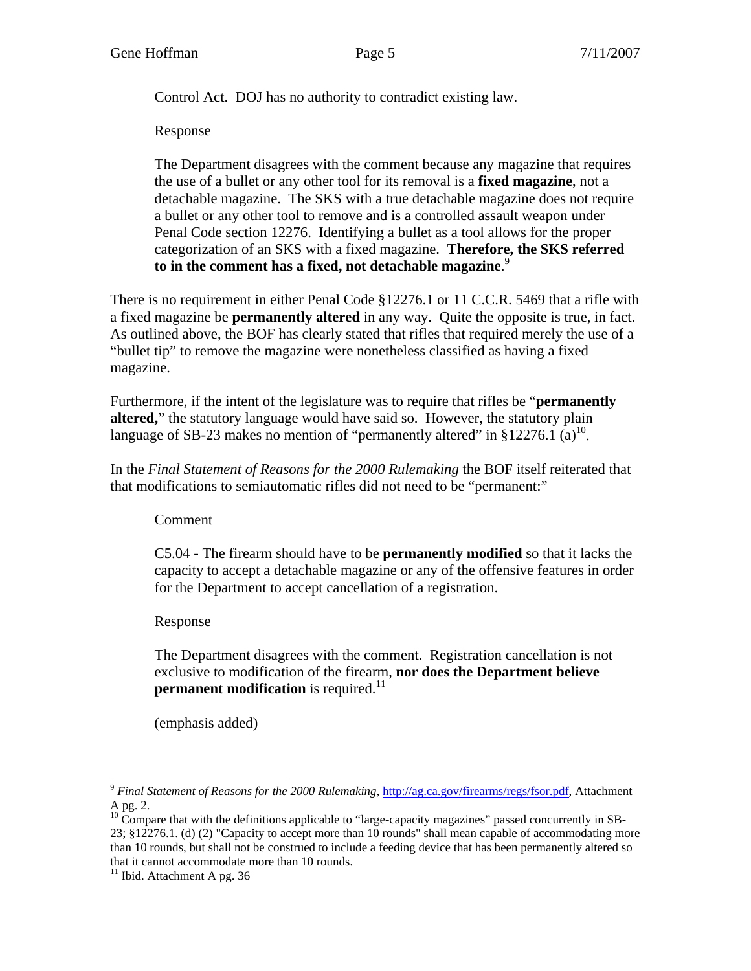Control Act. DOJ has no authority to contradict existing law.

Response

The Department disagrees with the comment because any magazine that requires the use of a bullet or any other tool for its removal is a **fixed magazine**, not a detachable magazine. The SKS with a true detachable magazine does not require a bullet or any other tool to remove and is a controlled assault weapon under Penal Code section 12276. Identifying a bullet as a tool allows for the proper categorization of an SKS with a fixed magazine. **Therefore, the SKS referred to in the comment has a fixed, not detachable magazine**. [9](#page-6-0)

There is no requirement in either Penal Code §12276.1 or 11 C.C.R. 5469 that a rifle with a fixed magazine be **permanently altered** in any way. Quite the opposite is true, in fact. As outlined above, the BOF has clearly stated that rifles that required merely the use of a "bullet tip" to remove the magazine were nonetheless classified as having a fixed magazine.

Furthermore, if the intent of the legislature was to require that rifles be "**permanently altered,**" the statutory language would have said so. However, the statutory plain language of SB-23 makes no mention of "permanently altered" in §12276.1 (a)<sup>10</sup>.

In the *Final Statement of Reasons for the 2000 Rulemaking* the BOF itself reiterated that that modifications to semiautomatic rifles did not need to be "permanent:"

Comment

C5.04 - The firearm should have to be **permanently modified** so that it lacks the capacity to accept a detachable magazine or any of the offensive features in order for the Department to accept cancellation of a registration.

Response

The Department disagrees with the comment. Registration cancellation is not exclusive to modification of the firearm, **nor does the Department believe permanent modification** is required.<sup>[11](#page-6-2)</sup>

(emphasis added)

<span id="page-6-0"></span><sup>&</sup>lt;u>.</u> <sup>9</sup> Final Statement of Reasons for the 2000 Rulemaking, [http://ag.ca.gov/firearms/regs/fsor.pdf,](http://ag.ca.gov/firearms/regs/fsor.pdf) Attachment A pg. 2.

<span id="page-6-1"></span><sup>&</sup>lt;sup>10</sup> Compare that with the definitions applicable to "large-capacity magazines" passed concurrently in SB-23; §12276.1. (d) (2) "Capacity to accept more than 10 rounds" shall mean capable of accommodating more than 10 rounds, but shall not be construed to include a feeding device that has been permanently altered so that it cannot accommodate more than 10 rounds.

<span id="page-6-2"></span> $11$  Ibid. Attachment A pg. 36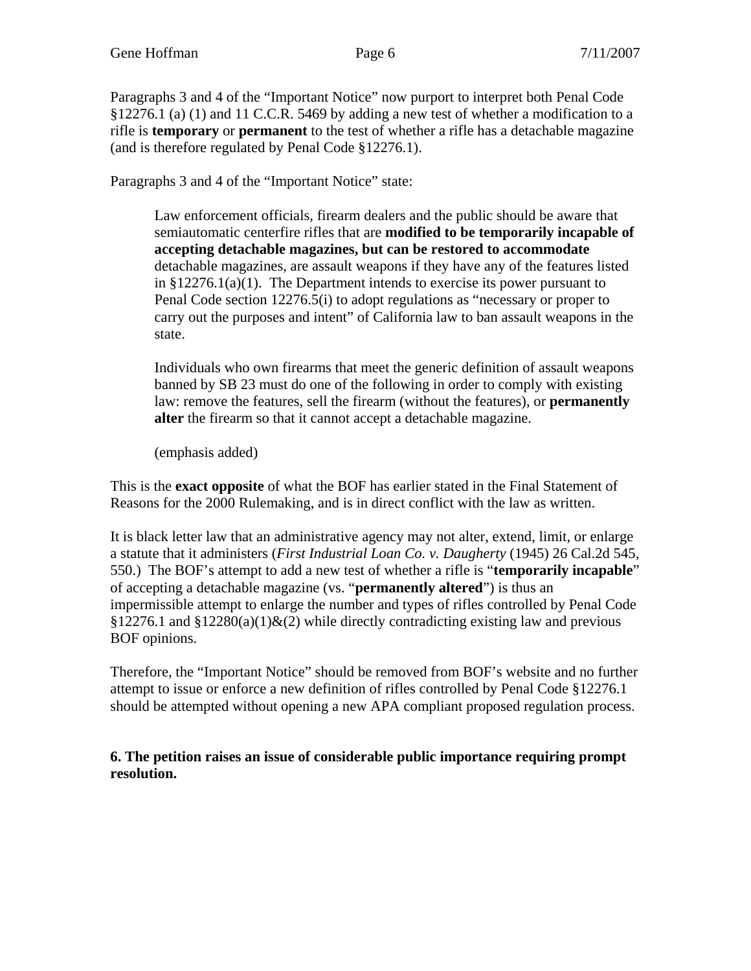<span id="page-7-0"></span>Paragraphs 3 and 4 of the "Important Notice" now purport to interpret both Penal Code §12276.1 (a) (1) and 11 C.C.R. 5469 by adding a new test of whether a modification to a rifle is **temporary** or **permanent** to the test of whether a rifle has a detachable magazine (and is therefore regulated by Penal Code §12276.1).

Paragraphs 3 and 4 of the "Important Notice" state:

Law enforcement officials, firearm dealers and the public should be aware that semiautomatic centerfire rifles that are **modified to be temporarily incapable of accepting detachable magazines, but can be restored to accommodate** detachable magazines, are assault weapons if they have any of the features listed in  $$12276.1(a)(1)$ . The Department intends to exercise its power pursuant to Penal Code section 12276.5(i) to adopt regulations as "necessary or proper to carry out the purposes and intent" of California law to ban assault weapons in the state.

Individuals who own firearms that meet the generic definition of assault weapons banned by SB 23 must do one of the following in order to comply with existing law: remove the features, sell the firearm (without the features), or **permanently alter** the firearm so that it cannot accept a detachable magazine.

(emphasis added)

This is the **exact opposite** of what the BOF has earlier stated in the Final Statement of Reasons for the 2000 Rulemaking, and is in direct conflict with the law as written.

It is black letter law that an administrative agency may not alter, extend, limit, or enlarge a statute that it administers (*First Industrial Loan Co. v. Daugherty* (1945) 26 Cal.2d 545, 550.) The BOF's attempt to add a new test of whether a rifle is "**temporarily incapable**" of accepting a detachable magazine (vs. "**permanently altered**") is thus an impermissible attempt to enlarge the number and types of rifles controlled by Penal Code  $§12276.1$  and  $§12280(a)(1)$ &(2) while directly contradicting existing law and previous BOF opinions.

Therefore, [th](#page-7-0)e "Important Notice" should be removed from BOF's website and no further attempt to issue or enforce a new definition of rifles controlled by Penal Code §12276.1 should be attempted without opening a new APA compliant proposed regulation process.

**6. The petition raises an issue of considerable public importance requiring prompt resolution.**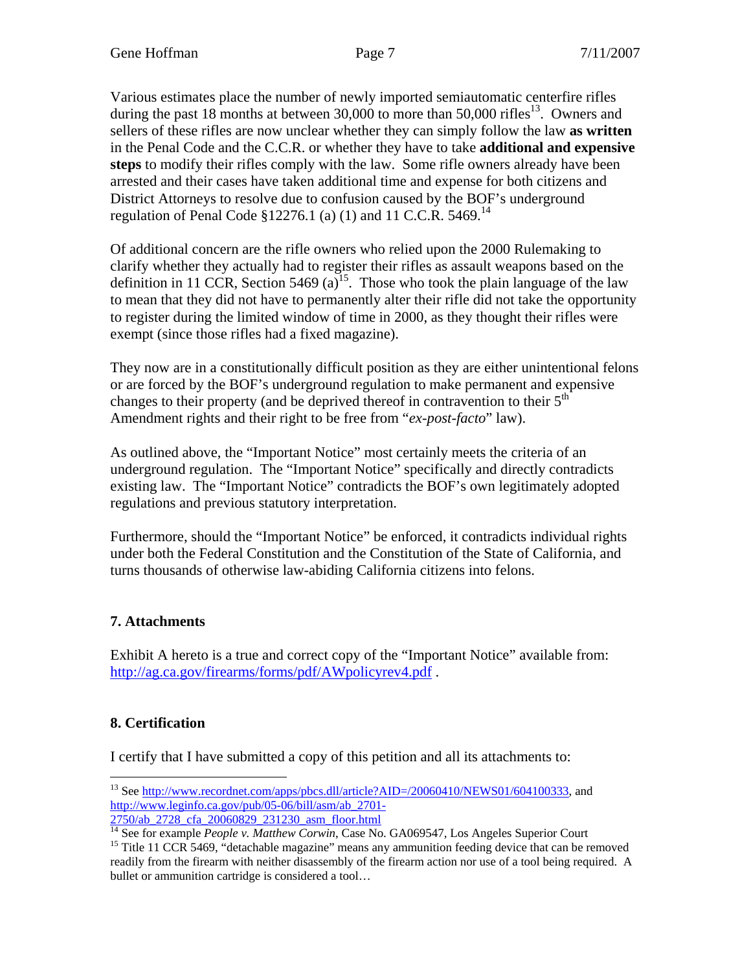Various estimates place the number of newly imported semiautomatic centerfire rifles during the past 18 months at between  $30,000$  to more than  $50,000$  rifles<sup>13</sup>. Owners and sellers of these rifles are now unclear whether they can simply follow the law **as written** in the Penal Code and the C.C.R. or whether they have to take **additional and expensive steps** to modify their rifles comply with the law. Some rifle owners already have been arrested and their cases have taken additional time and expense for both citizens and District Attorneys to resolve due to confusion caused by the BOF's underground regulation of Penal Code §12276.1 (a) (1) and 11 C.C.R. 5469.<sup>14</sup>

Of additional concern are the rifle owners who relied upon the 2000 Rulemaking to clarify whether they actually had to register their rifles as assault weapons based on the definition in 11 CCR, Section 5469 (a)<sup>15</sup>. Those who took the plain language of the law to mean that they did not have to permanently alter their rifle did not take the opportunity to register during the limited window of time in 2000, as they thought their rifles were exempt (since those rifles had a fixed magazine).

They now are in a constitutionally difficult position as they are either unintentional felons or are forced by the BOF's underground regulation to make permanent and expensive changes to their property (and be deprived thereof in contravention to their  $5<sup>th</sup>$ Amendment rights and their right to be free from "*ex-post-facto*" law).

As outlined above, the "Important Notice" most certainly meets the criteria of an underground regulation. The "Important Notice" specifically and directly contradicts existing law. The "Important Notice" contradicts the BOF's own legitimately adopted regulations and previous statutory interpretation.

Furthermore, should the "Important Notice" be enforced, it contradicts individual rights under both the Federal Constitution and the Constitution of the State of California, and turns thousands of otherwise law-abiding California citizens into felons.

#### **7. Attachments**

Exhibit A hereto is a true and correct copy of the "Important Notice" available from: <http://ag.ca.gov/firearms/forms/pdf/AWpolicyrev4.pdf> .

#### **8. Certification**

I certify that I have submitted a copy of this petition and all its attachments to:

<span id="page-8-0"></span><sup>&</sup>lt;u>.</u> <sup>13</sup> See [http://www.recordnet.com/apps/pbcs.dll/article?AID=/20060410/NEWS01/604100333,](http://www.recordnet.com/apps/pbcs.dll/article?AID=/20060410/NEWS01/604100333) and [http://www.leginfo.ca.gov/pub/05-06/bill/asm/ab\\_2701-](http://www.leginfo.ca.gov/pub/05-06/bill/asm/ab_2701-2750/ab_2728_cfa_20060829_231230_asm_floor.html)

<span id="page-8-2"></span><span id="page-8-1"></span>

 $\frac{2750/ab_2728_c \text{fa}_20060829_231230_a \text{sm}\_ \text{floor.html}}{1^4 \text{See for example } \text{People } v. \text{ Matthew Corwin, Case No. GA069547, Los Angeles Superior Court}^{15} \text{Title 11 CCR 5469, "detachable magazine" means any ammonition feeding device that can be removed.}$ readily from the firearm with neither disassembly of the firearm action nor use of a tool being required. A bullet or ammunition cartridge is considered a tool…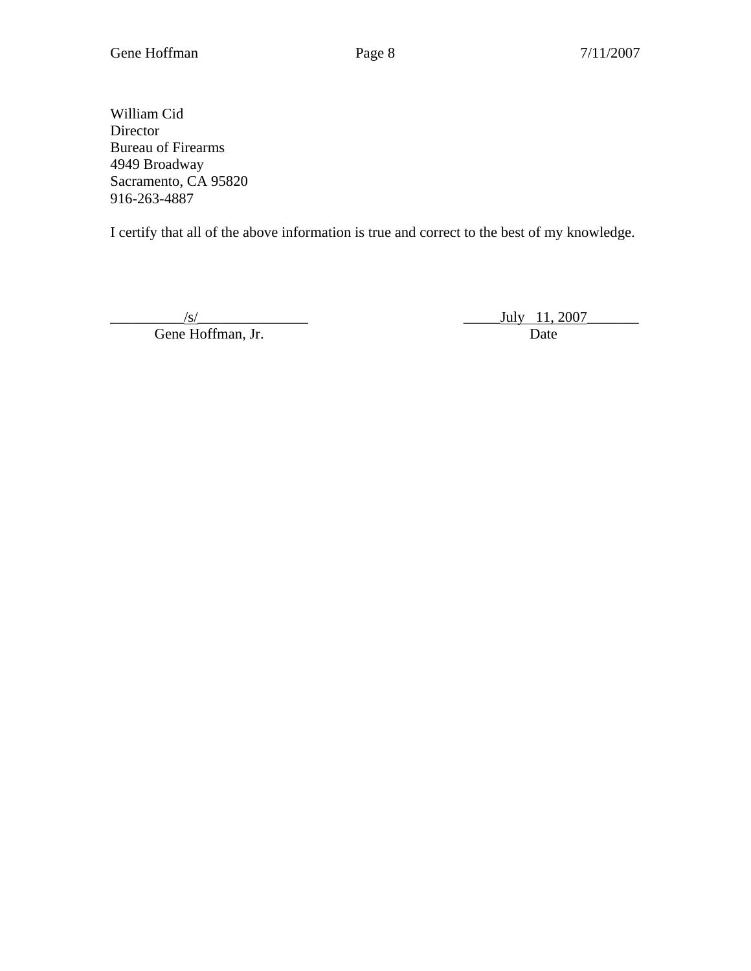William Cid Director Bureau of Firearms 4949 Broadway Sacramento, CA 95820 916-263-4887

I certify that all of the above information is true and correct to the best of my knowledge.

Gene Hoffman, Jr.

 $\frac{J_{\text{S}}}{\text{E}}$  Hoffman, Jr. Date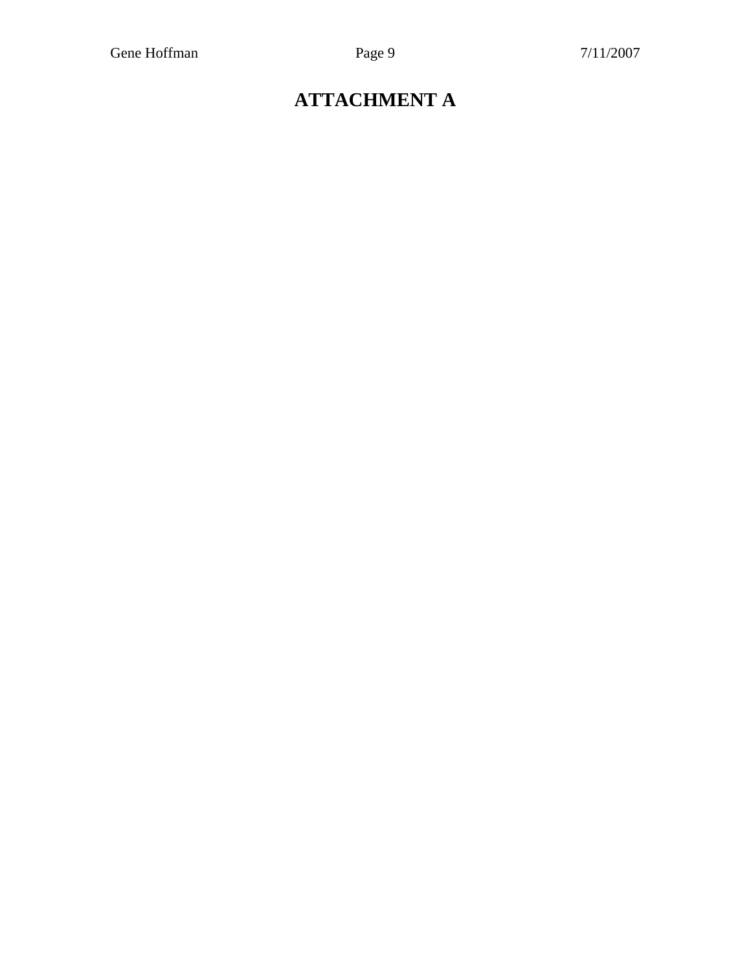# **ATTACHMENT A**